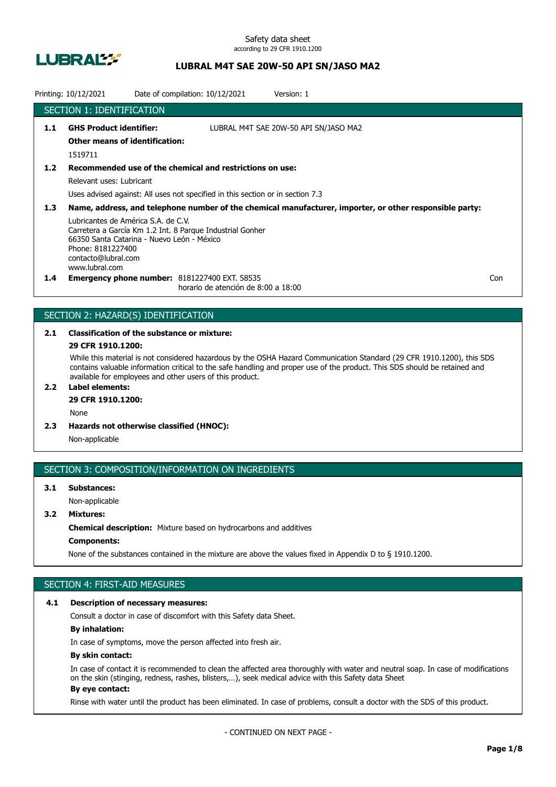

Safety data sheet according to 29 CFR 1910.1200

# **LUBRAL M4T SAE 20W-50 API SN/JASO MA2**

|                  | Printing: 10/12/2021                                                                                                                            | Date of compilation: 10/12/2021                                                                                                            | Version: 1                                                                                              |     |
|------------------|-------------------------------------------------------------------------------------------------------------------------------------------------|--------------------------------------------------------------------------------------------------------------------------------------------|---------------------------------------------------------------------------------------------------------|-----|
|                  | <b>SECTION 1: IDENTIFICATION</b>                                                                                                                |                                                                                                                                            |                                                                                                         |     |
| 1.1              | <b>GHS Product identifier:</b><br><b>Other means of identification:</b><br>1519711                                                              |                                                                                                                                            | LUBRAL M4T SAE 20W-50 API SN/JASO MA2                                                                   |     |
| 1.2              | Relevant uses: Lubricant                                                                                                                        | Recommended use of the chemical and restrictions on use:<br>Uses advised against: All uses not specified in this section or in section 7.3 |                                                                                                         |     |
| 1.3 <sub>2</sub> | Lubricantes de América S.A. de C.V.<br>66350 Santa Catarina - Nuevo León - México<br>Phone: 8181227400<br>contacto@lubral.com<br>www.lubral.com | Carretera a García Km 1.2 Int. 8 Parque Industrial Gonher                                                                                  | Name, address, and telephone number of the chemical manufacturer, importer, or other responsible party: |     |
| $1.4^{\circ}$    |                                                                                                                                                 | <b>Emergency phone number: 8181227400 EXT. 58535</b><br>horario de atención de 8:00 a 18:00                                                |                                                                                                         | Con |

# SECTION 2: HAZARD(S) IDENTIFICATION

# **2.1 Classification of the substance or mixture:**

# **29 CFR 1910.1200:**

While this material is not considered hazardous by the OSHA Hazard Communication Standard (29 CFR 1910.1200), this SDS contains valuable information critical to the safe handling and proper use of the product. This SDS should be retained and available for employees and other users of this product.

# **2.2 Label elements:**

# **29 CFR 1910.1200:**

None

**2.3 Hazards not otherwise classified (HNOC):**

Non-applicable

#### SECTION 3: COMPOSITION/INFORMATION ON INGREDIENTS

# **3.1 Substances:** Non-applicable

# **3.2 Mixtures:**

**Chemical description:** Mixture based on hydrocarbons and additives

# **Components:**

None of the substances contained in the mixture are above the values fixed in Appendix D to § 1910.1200.

# SECTION 4: FIRST-AID MEASURES

#### **4.1 Description of necessary measures:**

Consult a doctor in case of discomfort with this Safety data Sheet.

# **By inhalation:**

In case of symptoms, move the person affected into fresh air.

#### **By skin contact:**

In case of contact it is recommended to clean the affected area thoroughly with water and neutral soap. In case of modifications on the skin (stinging, redness, rashes, blisters,…), seek medical advice with this Safety data Sheet **By eye contact:**

#### Rinse with water until the product has been eliminated. In case of problems, consult a doctor with the SDS of this product.

- CONTINUED ON NEXT PAGE -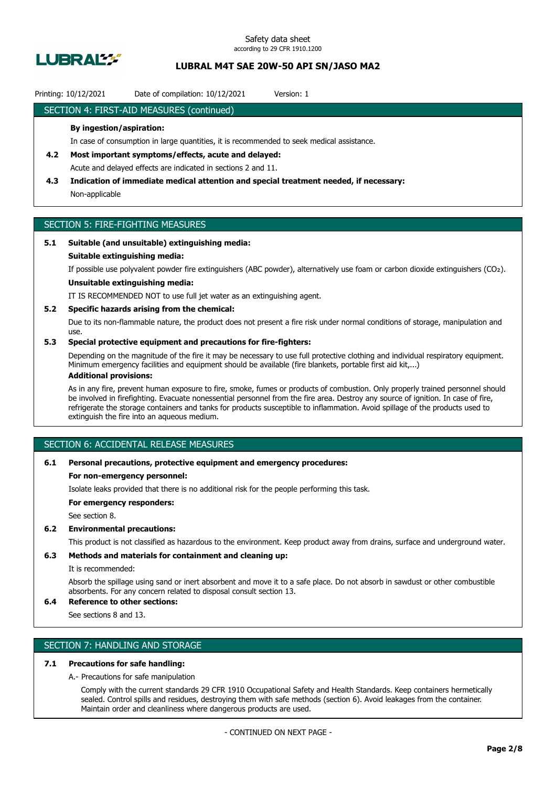

#### Printing: 10/12/2021 Date of compilation: 10/12/2021 Version: 1

### SECTION 4: FIRST-AID MEASURES (continued)

#### **By ingestion/aspiration:**

In case of consumption in large quantities, it is recommended to seek medical assistance.

- **4.2 Most important symptoms/effects, acute and delayed:** Acute and delayed effects are indicated in sections 2 and 11.
- **4.3 Indication of immediate medical attention and special treatment needed, if necessary:** Non-applicable

# SECTION 5: FIRE-FIGHTING MEASURES

### **5.1 Suitable (and unsuitable) extinguishing media:**

#### **Suitable extinguishing media:**

If possible use polyvalent powder fire extinguishers (ABC powder), alternatively use foam or carbon dioxide extinguishers (CO₂).

# **Unsuitable extinguishing media:**

IT IS RECOMMENDED NOT to use full jet water as an extinguishing agent.

#### **5.2 Specific hazards arising from the chemical:**

Due to its non-flammable nature, the product does not present a fire risk under normal conditions of storage, manipulation and use.

### **5.3 Special protective equipment and precautions for fire-fighters:**

Depending on the magnitude of the fire it may be necessary to use full protective clothing and individual respiratory equipment. Minimum emergency facilities and equipment should be available (fire blankets, portable first aid kit,...)

# **Additional provisions:**

As in any fire, prevent human exposure to fire, smoke, fumes or products of combustion. Only properly trained personnel should be involved in firefighting. Evacuate nonessential personnel from the fire area. Destroy any source of ignition. In case of fire, refrigerate the storage containers and tanks for products susceptible to inflammation. Avoid spillage of the products used to extinguish the fire into an aqueous medium.

# SECTION 6: ACCIDENTAL RELEASE MEASURES

#### **6.1 Personal precautions, protective equipment and emergency procedures:**

#### **For non-emergency personnel:**

Isolate leaks provided that there is no additional risk for the people performing this task.

**For emergency responders:**

See section 8.

#### **6.2 Environmental precautions:**

This product is not classified as hazardous to the environment. Keep product away from drains, surface and underground water.

### **6.3 Methods and materials for containment and cleaning up:**

It is recommended:

Absorb the spillage using sand or inert absorbent and move it to a safe place. Do not absorb in sawdust or other combustible absorbents. For any concern related to disposal consult section 13.

# **6.4 Reference to other sections:**

See sections 8 and 13.

# SECTION 7: HANDLING AND STORAGE

### **7.1 Precautions for safe handling:**

A.- Precautions for safe manipulation

Comply with the current standards 29 CFR 1910 Occupational Safety and Health Standards. Keep containers hermetically sealed. Control spills and residues, destroying them with safe methods (section 6). Avoid leakages from the container. Maintain order and cleanliness where dangerous products are used.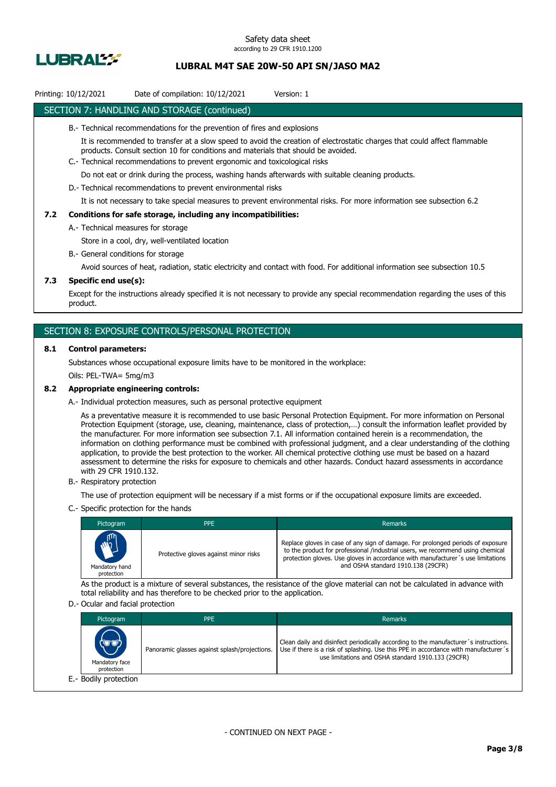

### Printing: 10/12/2021 Date of compilation: 10/12/2021 Version: 1

### SECTION 7: HANDLING AND STORAGE (continued)

- B.- Technical recommendations for the prevention of fires and explosions
	- It is recommended to transfer at a slow speed to avoid the creation of electrostatic charges that could affect flammable products. Consult section 10 for conditions and materials that should be avoided.
- C.- Technical recommendations to prevent ergonomic and toxicological risks

Do not eat or drink during the process, washing hands afterwards with suitable cleaning products.

D.- Technical recommendations to prevent environmental risks

It is not necessary to take special measures to prevent environmental risks. For more information see subsection 6.2

### **7.2 Conditions for safe storage, including any incompatibilities:**

A.- Technical measures for storage

Store in a cool, dry, well-ventilated location

B.- General conditions for storage

Avoid sources of heat, radiation, static electricity and contact with food. For additional information see subsection 10.5

### **7.3 Specific end use(s):**

Except for the instructions already specified it is not necessary to provide any special recommendation regarding the uses of this product.

### SECTION 8: EXPOSURE CONTROLS/PERSONAL PROTECTION

#### **8.1 Control parameters:**

Substances whose occupational exposure limits have to be monitored in the workplace:

Oils: PEL-TWA= 5mg/m3

#### **8.2 Appropriate engineering controls:**

A.- Individual protection measures, such as personal protective equipment

As a preventative measure it is recommended to use basic Personal Protection Equipment. For more information on Personal Protection Equipment (storage, use, cleaning, maintenance, class of protection,…) consult the information leaflet provided by the manufacturer. For more information see subsection 7.1. All information contained herein is a recommendation, the information on clothing performance must be combined with professional judgment, and a clear understanding of the clothing application, to provide the best protection to the worker. All chemical protective clothing use must be based on a hazard assessment to determine the risks for exposure to chemicals and other hazards. Conduct hazard assessments in accordance with 29 CFR 1910.132.

B.- Respiratory protection

The use of protection equipment will be necessary if a mist forms or if the occupational exposure limits are exceeded.

C.- Specific protection for the hands

| Pictogram                            | <b>PPE</b>                            | Remarks                                                                                                                                                                                                                                                                                    |
|--------------------------------------|---------------------------------------|--------------------------------------------------------------------------------------------------------------------------------------------------------------------------------------------------------------------------------------------------------------------------------------------|
| MAIL<br>Mandatory hand<br>protection | Protective gloves against minor risks | Replace gloves in case of any sign of damage. For prolonged periods of exposure<br>to the product for professional /industrial users, we recommend using chemical<br>protection gloves. Use gloves in accordance with manufacturer's use limitations<br>and OSHA standard 1910.138 (29CFR) |

As the product is a mixture of several substances, the resistance of the glove material can not be calculated in advance with total reliability and has therefore to be checked prior to the application.

#### D.- Ocular and facial protection

| Pictogram                            | <b>PPE</b>                                    | Remarks                                                                                                                                                                                                                           |
|--------------------------------------|-----------------------------------------------|-----------------------------------------------------------------------------------------------------------------------------------------------------------------------------------------------------------------------------------|
| (UD)<br>Mandatory face<br>protection | Panoramic glasses against splash/projections. | Clean daily and disinfect periodically according to the manufacturer's instructions.<br>Use if there is a risk of splashing. Use this PPE in accordance with manufacturer's<br>use limitations and OSHA standard 1910.133 (29CFR) |
| E.- Bodily protection                |                                               |                                                                                                                                                                                                                                   |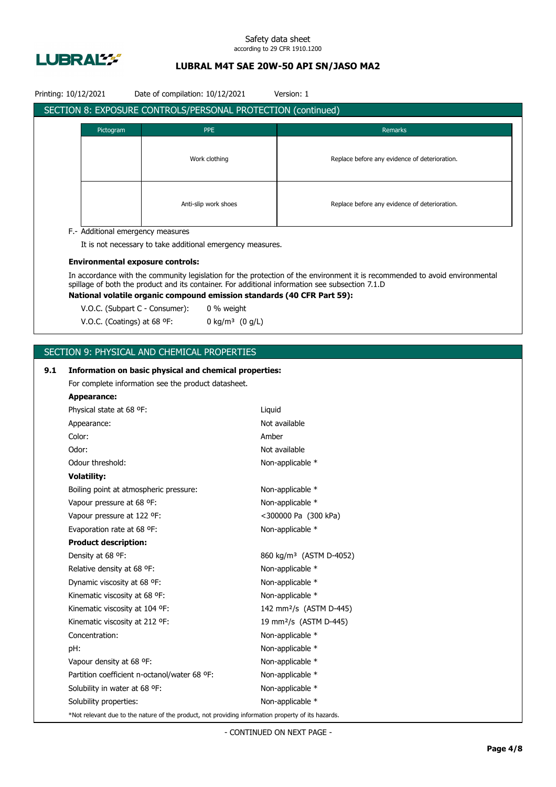

#### Safety data sheet according to 29 CFR 1910.1200

# **LUBRAL M4T SAE 20W-50 API SN/JASO MA2**

| Date of compilation: 10/12/2021<br>Printing: 10/12/2021<br>Version: 1 |                                                                                                    |                                                                                                 |                  |                                                                                                                             |  |  |
|-----------------------------------------------------------------------|----------------------------------------------------------------------------------------------------|-------------------------------------------------------------------------------------------------|------------------|-----------------------------------------------------------------------------------------------------------------------------|--|--|
| SECTION 8: EXPOSURE CONTROLS/PERSONAL PROTECTION (continued)          |                                                                                                    |                                                                                                 |                  |                                                                                                                             |  |  |
|                                                                       |                                                                                                    |                                                                                                 |                  |                                                                                                                             |  |  |
|                                                                       | Pictogram                                                                                          | <b>PPE</b>                                                                                      |                  | Remarks                                                                                                                     |  |  |
|                                                                       |                                                                                                    |                                                                                                 |                  |                                                                                                                             |  |  |
|                                                                       |                                                                                                    | Work clothing                                                                                   |                  | Replace before any evidence of deterioration.                                                                               |  |  |
|                                                                       |                                                                                                    |                                                                                                 |                  |                                                                                                                             |  |  |
|                                                                       |                                                                                                    |                                                                                                 |                  |                                                                                                                             |  |  |
|                                                                       |                                                                                                    | Anti-slip work shoes                                                                            |                  | Replace before any evidence of deterioration.                                                                               |  |  |
|                                                                       |                                                                                                    |                                                                                                 |                  |                                                                                                                             |  |  |
|                                                                       | F.- Additional emergency measures                                                                  |                                                                                                 |                  |                                                                                                                             |  |  |
|                                                                       |                                                                                                    | It is not necessary to take additional emergency measures.                                      |                  |                                                                                                                             |  |  |
|                                                                       | <b>Environmental exposure controls:</b>                                                            |                                                                                                 |                  |                                                                                                                             |  |  |
|                                                                       |                                                                                                    |                                                                                                 |                  | In accordance with the community legislation for the protection of the environment it is recommended to avoid environmental |  |  |
|                                                                       |                                                                                                    | spillage of both the product and its container. For additional information see subsection 7.1.D |                  |                                                                                                                             |  |  |
|                                                                       |                                                                                                    | National volatile organic compound emission standards (40 CFR Part 59):                         |                  |                                                                                                                             |  |  |
|                                                                       | V.O.C. (Subpart C - Consumer):                                                                     | 0 % weight                                                                                      |                  |                                                                                                                             |  |  |
|                                                                       | V.O.C. (Coatings) at 68 °F:                                                                        | 0 kg/m <sup>3</sup> $(0 g/L)$                                                                   |                  |                                                                                                                             |  |  |
|                                                                       |                                                                                                    |                                                                                                 |                  |                                                                                                                             |  |  |
|                                                                       |                                                                                                    | SECTION 9: PHYSICAL AND CHEMICAL PROPERTIES                                                     |                  |                                                                                                                             |  |  |
| 9.1                                                                   |                                                                                                    | Information on basic physical and chemical properties:                                          |                  |                                                                                                                             |  |  |
|                                                                       | For complete information see the product datasheet.                                                |                                                                                                 |                  |                                                                                                                             |  |  |
|                                                                       | <b>Appearance:</b>                                                                                 |                                                                                                 |                  |                                                                                                                             |  |  |
|                                                                       | Physical state at 68 °F:                                                                           |                                                                                                 | Liquid           |                                                                                                                             |  |  |
|                                                                       | Appearance:                                                                                        |                                                                                                 |                  | Not available                                                                                                               |  |  |
|                                                                       | Color:                                                                                             |                                                                                                 | Amber            |                                                                                                                             |  |  |
|                                                                       | Odor:                                                                                              |                                                                                                 |                  | Not available                                                                                                               |  |  |
|                                                                       | Odour threshold:                                                                                   |                                                                                                 | Non-applicable * |                                                                                                                             |  |  |
|                                                                       | <b>Volatility:</b>                                                                                 |                                                                                                 |                  |                                                                                                                             |  |  |
|                                                                       | Boiling point at atmospheric pressure:                                                             |                                                                                                 |                  | Non-applicable *                                                                                                            |  |  |
|                                                                       | Vapour pressure at 68 °F:                                                                          |                                                                                                 |                  | Non-applicable *                                                                                                            |  |  |
|                                                                       | Vapour pressure at 122 °F:                                                                         |                                                                                                 |                  | <300000 Pa (300 kPa)                                                                                                        |  |  |
|                                                                       | Evaporation rate at 68 °F:                                                                         |                                                                                                 |                  | Non-applicable *                                                                                                            |  |  |
|                                                                       | <b>Product description:</b>                                                                        |                                                                                                 |                  |                                                                                                                             |  |  |
|                                                                       | Density at 68 °F:                                                                                  |                                                                                                 |                  | 860 kg/m <sup>3</sup> (ASTM D-4052)                                                                                         |  |  |
|                                                                       | Relative density at 68 °F:                                                                         |                                                                                                 |                  | Non-applicable *                                                                                                            |  |  |
|                                                                       | Dynamic viscosity at 68 °F:                                                                        |                                                                                                 |                  | Non-applicable *                                                                                                            |  |  |
|                                                                       | Kinematic viscosity at 68 °F:                                                                      |                                                                                                 |                  | Non-applicable *                                                                                                            |  |  |
|                                                                       | Kinematic viscosity at 104 °F:                                                                     |                                                                                                 |                  | 142 mm <sup>2</sup> /s (ASTM D-445)                                                                                         |  |  |
|                                                                       | Kinematic viscosity at 212 °F:                                                                     |                                                                                                 |                  | 19 mm <sup>2</sup> /s (ASTM D-445)                                                                                          |  |  |
|                                                                       | Concentration:                                                                                     |                                                                                                 |                  | Non-applicable *                                                                                                            |  |  |
|                                                                       | pH:                                                                                                |                                                                                                 |                  | Non-applicable *                                                                                                            |  |  |
|                                                                       | Vapour density at 68 °F:                                                                           |                                                                                                 |                  | Non-applicable *                                                                                                            |  |  |
|                                                                       |                                                                                                    | Partition coefficient n-octanol/water 68 °F:                                                    |                  | Non-applicable *                                                                                                            |  |  |
|                                                                       | Solubility in water at 68 °F:                                                                      |                                                                                                 |                  | Non-applicable *                                                                                                            |  |  |
|                                                                       | Solubility properties:                                                                             |                                                                                                 |                  | Non-applicable *                                                                                                            |  |  |
|                                                                       | *Not relevant due to the nature of the product, not providing information property of its hazards. |                                                                                                 |                  |                                                                                                                             |  |  |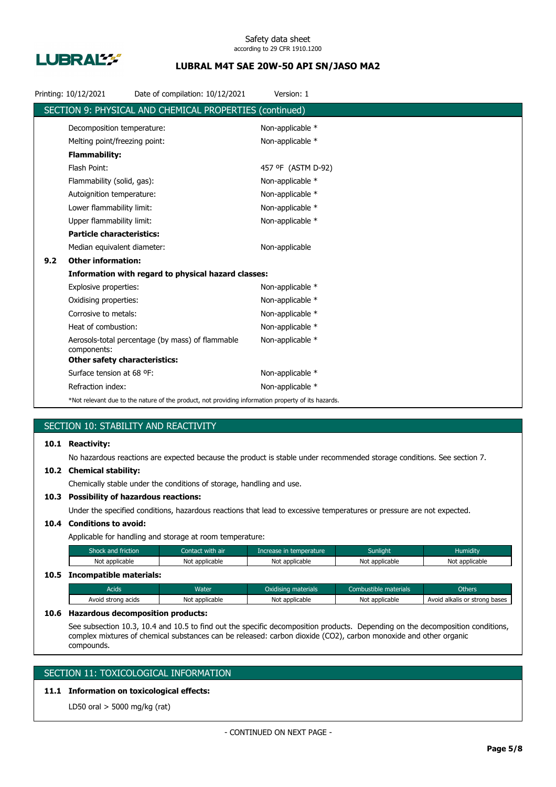

|     | Printing: 10/12/2021                 | Date of compilation: 10/12/2021                                                                    | Version: 1         |
|-----|--------------------------------------|----------------------------------------------------------------------------------------------------|--------------------|
|     |                                      | SECTION 9: PHYSICAL AND CHEMICAL PROPERTIES (continued)                                            |                    |
|     | Decomposition temperature:           |                                                                                                    | Non-applicable *   |
|     | Melting point/freezing point:        |                                                                                                    | Non-applicable *   |
|     | <b>Flammability:</b>                 |                                                                                                    |                    |
|     | Flash Point:                         |                                                                                                    | 457 °F (ASTM D-92) |
|     | Flammability (solid, gas):           |                                                                                                    | Non-applicable *   |
|     | Autoignition temperature:            |                                                                                                    | Non-applicable *   |
|     | Lower flammability limit:            |                                                                                                    | Non-applicable *   |
|     | Upper flammability limit:            |                                                                                                    | Non-applicable *   |
|     | <b>Particle characteristics:</b>     |                                                                                                    |                    |
|     | Median equivalent diameter:          |                                                                                                    | Non-applicable     |
| 9.2 | <b>Other information:</b>            |                                                                                                    |                    |
|     |                                      | Information with regard to physical hazard classes:                                                |                    |
|     | Explosive properties:                |                                                                                                    | Non-applicable *   |
|     | Oxidising properties:                |                                                                                                    | Non-applicable *   |
|     | Corrosive to metals:                 |                                                                                                    | Non-applicable *   |
|     | Heat of combustion:                  |                                                                                                    | Non-applicable *   |
|     | components:                          | Aerosols-total percentage (by mass) of flammable                                                   | Non-applicable *   |
|     | <b>Other safety characteristics:</b> |                                                                                                    |                    |
|     | Surface tension at 68 °F:            |                                                                                                    | Non-applicable *   |
|     | Refraction index:                    |                                                                                                    | Non-applicable *   |
|     |                                      | *Not relevant due to the nature of the product, not providing information property of its hazards. |                    |

# SECTION 10: STABILITY AND REACTIVITY

### **10.1 Reactivity:**

No hazardous reactions are expected because the product is stable under recommended storage conditions. See section 7.

#### **10.2 Chemical stability:**

Chemically stable under the conditions of storage, handling and use.

### **10.3 Possibility of hazardous reactions:**

Under the specified conditions, hazardous reactions that lead to excessive temperatures or pressure are not expected.

# **10.4 Conditions to avoid:**

Applicable for handling and storage at room temperature:

| Shock and friction           | Contact with air | Increase in temperature | <b>Sunlight</b> | <b>Humidity</b> |
|------------------------------|------------------|-------------------------|-----------------|-----------------|
| Not applicable               | Not applicable   | Not applicable          | Not applicable  | Not applicable  |
| 10.5 Incompatible materials: |                  |                         |                 |                 |

# Acids **Water Water Coxidising materials** Combustible materials Chhers Others Avoid strong acids Not applicable Not applicable Not applicable Not applicable Avoid alkalis or strong bases

#### **10.6 Hazardous decomposition products:**

See subsection 10.3, 10.4 and 10.5 to find out the specific decomposition products. Depending on the decomposition conditions, complex mixtures of chemical substances can be released: carbon dioxide (CO2), carbon monoxide and other organic compounds.

# SECTION 11: TOXICOLOGICAL INFORMATION

# **11.1 Information on toxicological effects:**

LD50 oral > 5000 mg/kg (rat)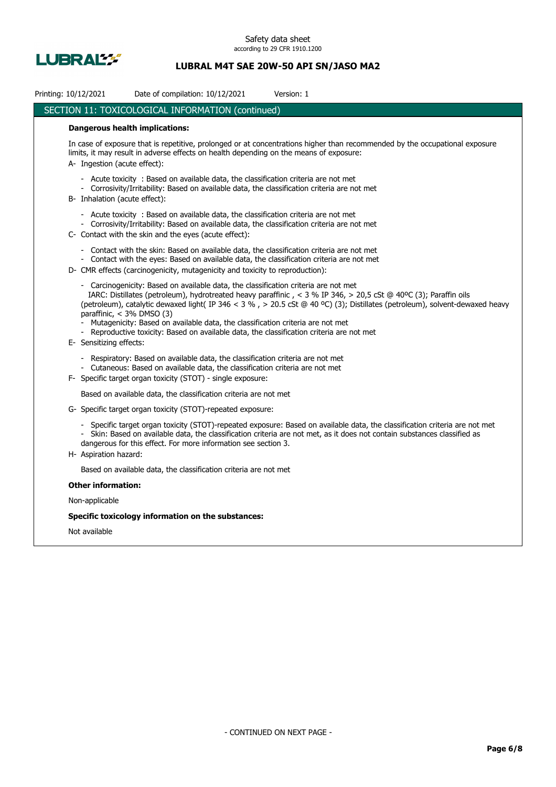

| Printing: 10/12/2021                                   | Date of compilation: 10/12/2021                                                                                                                                                                                                                                        | Version: 1                                                                                                                                                                                                                                               |
|--------------------------------------------------------|------------------------------------------------------------------------------------------------------------------------------------------------------------------------------------------------------------------------------------------------------------------------|----------------------------------------------------------------------------------------------------------------------------------------------------------------------------------------------------------------------------------------------------------|
|                                                        | SECTION 11: TOXICOLOGICAL INFORMATION (continued)                                                                                                                                                                                                                      |                                                                                                                                                                                                                                                          |
|                                                        | <b>Dangerous health implications:</b>                                                                                                                                                                                                                                  |                                                                                                                                                                                                                                                          |
| A Ingestion (acute effect):                            | limits, it may result in adverse effects on health depending on the means of exposure:                                                                                                                                                                                 | In case of exposure that is repetitive, prolonged or at concentrations higher than recommended by the occupational exposure                                                                                                                              |
| B- Inhalation (acute effect):                          | - Acute toxicity : Based on available data, the classification criteria are not met<br>- Corrosivity/Irritability: Based on available data, the classification criteria are not met                                                                                    |                                                                                                                                                                                                                                                          |
|                                                        | - Acute toxicity : Based on available data, the classification criteria are not met<br>- Corrosivity/Irritability: Based on available data, the classification criteria are not met<br>C- Contact with the skin and the eyes (acute effect):                           |                                                                                                                                                                                                                                                          |
|                                                        | - Contact with the skin: Based on available data, the classification criteria are not met<br>- Contact with the eyes: Based on available data, the classification criteria are not met<br>D- CMR effects (carcinogenicity, mutagenicity and toxicity to reproduction): |                                                                                                                                                                                                                                                          |
| paraffinic, $<$ 3% DMSO (3)<br>E- Sensitizing effects: | - Carcinogenicity: Based on available data, the classification criteria are not met<br>- Mutagenicity: Based on available data, the classification criteria are not met<br>- Reproductive toxicity: Based on available data, the classification criteria are not met   | IARC: Distillates (petroleum), hydrotreated heavy paraffinic, < 3 % IP 346, > 20,5 cSt @ 40°C (3); Paraffin oils<br>(petroleum), catalytic dewaxed light(IP 346 < 3 %, > 20.5 cSt @ 40 °C) (3); Distillates (petroleum), solvent-dewaxed heavy           |
|                                                        | - Respiratory: Based on available data, the classification criteria are not met<br>- Cutaneous: Based on available data, the classification criteria are not met<br>F- Specific target organ toxicity (STOT) - single exposure:                                        |                                                                                                                                                                                                                                                          |
|                                                        | Based on available data, the classification criteria are not met                                                                                                                                                                                                       |                                                                                                                                                                                                                                                          |
|                                                        | G- Specific target organ toxicity (STOT)-repeated exposure:                                                                                                                                                                                                            |                                                                                                                                                                                                                                                          |
| H- Aspiration hazard:                                  | dangerous for this effect. For more information see section 3.                                                                                                                                                                                                         | - Specific target organ toxicity (STOT)-repeated exposure: Based on available data, the classification criteria are not met<br>- Skin: Based on available data, the classification criteria are not met, as it does not contain substances classified as |
|                                                        | Based on available data, the classification criteria are not met                                                                                                                                                                                                       |                                                                                                                                                                                                                                                          |
| <b>Other information:</b>                              |                                                                                                                                                                                                                                                                        |                                                                                                                                                                                                                                                          |
| Non-applicable                                         |                                                                                                                                                                                                                                                                        |                                                                                                                                                                                                                                                          |
|                                                        | Specific toxicology information on the substances:                                                                                                                                                                                                                     |                                                                                                                                                                                                                                                          |
| Not available                                          |                                                                                                                                                                                                                                                                        |                                                                                                                                                                                                                                                          |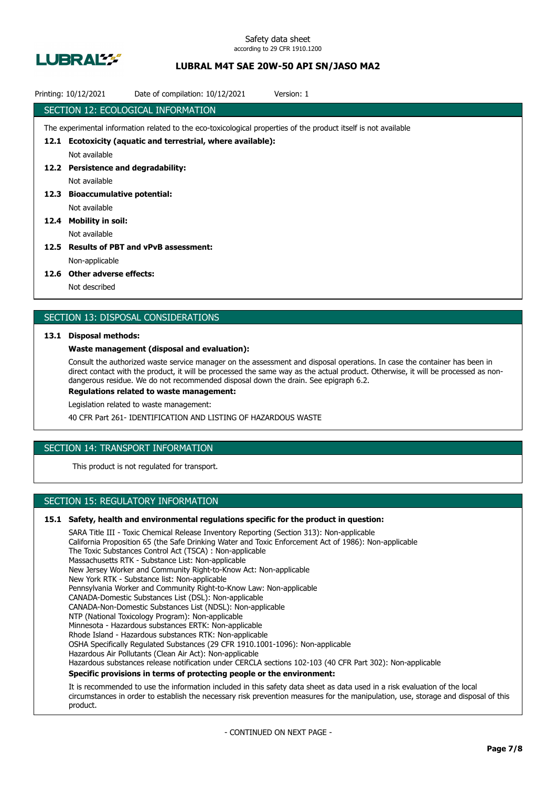

|      | Printing: 10/12/2021                                                                                            | Date of compilation: 10/12/2021 | Version: 1 |  |  |  |  |
|------|-----------------------------------------------------------------------------------------------------------------|---------------------------------|------------|--|--|--|--|
|      | SECTION 12: ECOLOGICAL INFORMATION                                                                              |                                 |            |  |  |  |  |
|      | The experimental information related to the eco-toxicological properties of the product itself is not available |                                 |            |  |  |  |  |
|      | 12.1 Ecotoxicity (aquatic and terrestrial, where available):                                                    |                                 |            |  |  |  |  |
|      | Not available                                                                                                   |                                 |            |  |  |  |  |
|      | 12.2 Persistence and degradability:                                                                             |                                 |            |  |  |  |  |
|      | Not available                                                                                                   |                                 |            |  |  |  |  |
|      | 12.3 Bioaccumulative potential:                                                                                 |                                 |            |  |  |  |  |
|      | Not available                                                                                                   |                                 |            |  |  |  |  |
| 12.4 | Mobility in soil:                                                                                               |                                 |            |  |  |  |  |
|      | Not available                                                                                                   |                                 |            |  |  |  |  |
| 12.5 | <b>Results of PBT and vPvB assessment:</b>                                                                      |                                 |            |  |  |  |  |
|      | Non-applicable                                                                                                  |                                 |            |  |  |  |  |
|      |                                                                                                                 |                                 |            |  |  |  |  |

#### **12.6 Other adverse effects:**

Not described

### SECTION 13: DISPOSAL CONSIDERATIONS

#### **13.1 Disposal methods:**

#### **Waste management (disposal and evaluation):**

Consult the authorized waste service manager on the assessment and disposal operations. In case the container has been in direct contact with the product, it will be processed the same way as the actual product. Otherwise, it will be processed as nondangerous residue. We do not recommended disposal down the drain. See epigraph 6.2.

**Regulations related to waste management:**

Legislation related to waste management:

40 CFR Part 261- IDENTIFICATION AND LISTING OF HAZARDOUS WASTE

# SECTION 14: TRANSPORT INFORMATION

This product is not regulated for transport.

# SECTION 15: REGULATORY INFORMATION

#### **15.1 Safety, health and environmental regulations specific for the product in question:**

SARA Title III - Toxic Chemical Release Inventory Reporting (Section 313): Non-applicable California Proposition 65 (the Safe Drinking Water and Toxic Enforcement Act of 1986): Non-applicable The Toxic Substances Control Act (TSCA) : Non-applicable Massachusetts RTK - Substance List: Non-applicable New Jersey Worker and Community Right-to-Know Act: Non-applicable New York RTK - Substance list: Non-applicable Pennsylvania Worker and Community Right-to-Know Law: Non-applicable CANADA-Domestic Substances List (DSL): Non-applicable CANADA-Non-Domestic Substances List (NDSL): Non-applicable NTP (National Toxicology Program): Non-applicable Minnesota - Hazardous substances ERTK: Non-applicable Rhode Island - Hazardous substances RTK: Non-applicable OSHA Specifically Regulated Substances (29 CFR 1910.1001-1096): Non-applicable Hazardous Air Pollutants (Clean Air Act): Non-applicable Hazardous substances release notification under CERCLA sections 102-103 (40 CFR Part 302): Non-applicable **Specific provisions in terms of protecting people or the environment:**

It is recommended to use the information included in this safety data sheet as data used in a risk evaluation of the local circumstances in order to establish the necessary risk prevention measures for the manipulation, use, storage and disposal of this product.

- CONTINUED ON NEXT PAGE -